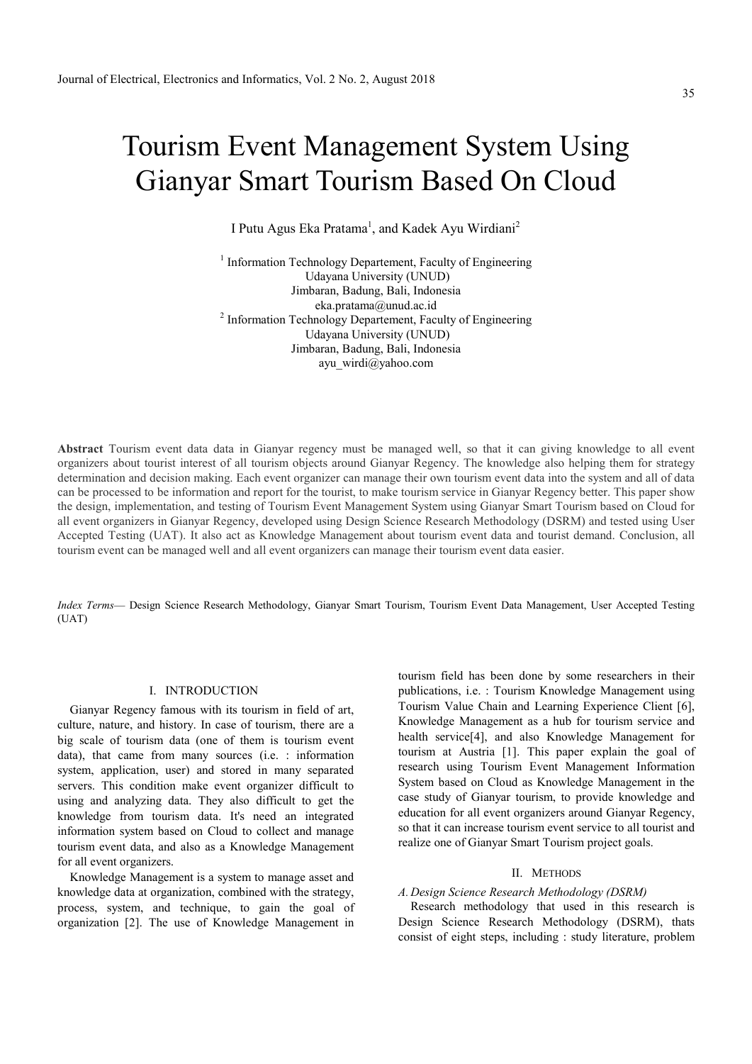# Tourism Event Management System Using Gianyar Smart Tourism Based On Cloud

I Putu Agus Eka Pratama<sup>1</sup>, and Kadek Ayu Wirdiani<sup>2</sup>

<sup>1</sup> Information Technology Departement, Faculty of Engineering Udayana University (UNUD) Jimbaran, Badung, Bali, Indonesia eka.pratama@unud.ac.id <sup>2</sup> Information Technology Departement, Faculty of Engineering Udayana University (UNUD) Jimbaran, Badung, Bali, Indonesia ayu\_wirdi@yahoo.com

**Abstract** Tourism event data data in Gianyar regency must be managed well, so that it can giving knowledge to all event organizers about tourist interest of all tourism objects around Gianyar Regency. The knowledge also helping them for strategy determination and decision making. Each event organizer can manage their own tourism event data into the system and all of data can be processed to be information and report for the tourist, to make tourism service in Gianyar Regency better. This paper show the design, implementation, and testing of Tourism Event Management System using Gianyar Smart Tourism based on Cloud for all event organizers in Gianyar Regency, developed using Design Science Research Methodology (DSRM) and tested using User Accepted Testing (UAT). It also act as Knowledge Management about tourism event data and tourist demand. Conclusion, all tourism event can be managed well and all event organizers can manage their tourism event data easier.

*Index Terms*— Design Science Research Methodology, Gianyar Smart Tourism, Tourism Event Data Management, User Accepted Testing (UAT)

## I. INTRODUCTION

Gianyar Regency famous with its tourism in field of art, culture, nature, and history. In case of tourism, there are a big scale of tourism data (one of them is tourism event data), that came from many sources (i.e. : information system, application, user) and stored in many separated servers. This condition make event organizer difficult to using and analyzing data. They also difficult to get the knowledge from tourism data. It's need an integrated information system based on Cloud to collect and manage tourism event data, and also as a Knowledge Management for all event organizers.

Knowledge Management is a system to manage asset and knowledge data at organization, combined with the strategy, process, system, and technique, to gain the goal of organization [2]. The use of Knowledge Management in tourism field has been done by some researchers in their publications, i.e. : Tourism Knowledge Management using Tourism Value Chain and Learning Experience Client [6], Knowledge Management as a hub for tourism service and health service[4], and also Knowledge Management for tourism at Austria [1]. This paper explain the goal of research using Tourism Event Management Information System based on Cloud as Knowledge Management in the case study of Gianyar tourism, to provide knowledge and education for all event organizers around Gianyar Regency, so that it can increase tourism event service to all tourist and realize one of Gianyar Smart Tourism project goals.

## II. METHODS

# *A. Design Science Research Methodology (DSRM)*

Research methodology that used in this research is Design Science Research Methodology (DSRM), thats consist of eight steps, including : study literature, problem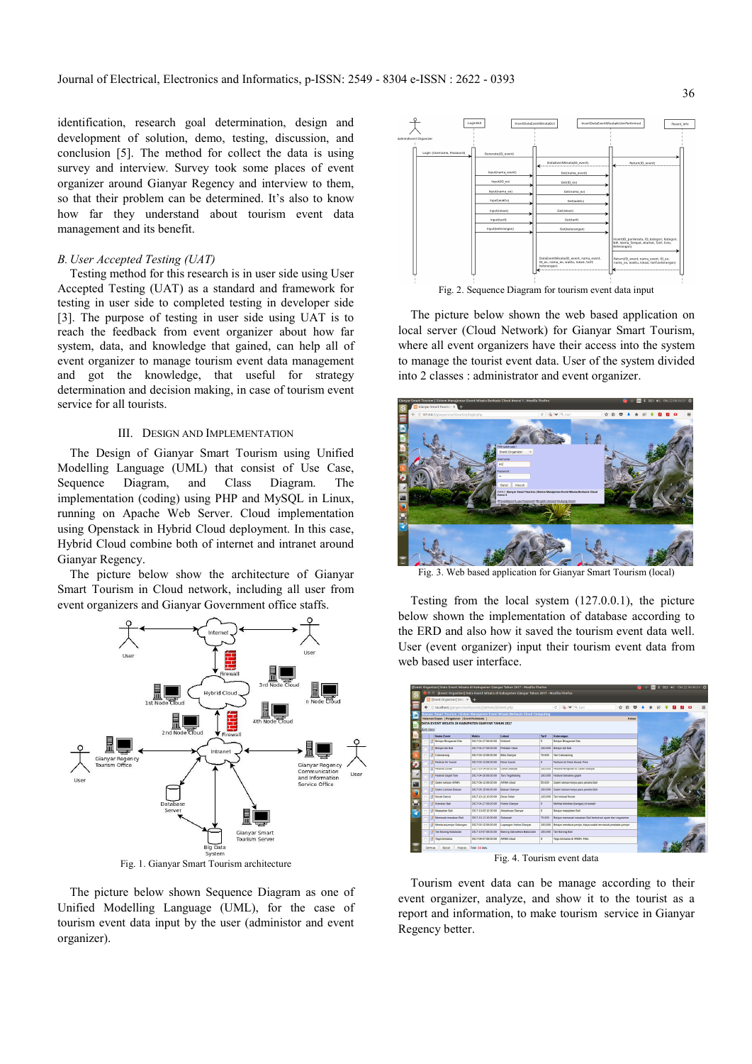identification, research goal determination, design and development of solution, demo, testing, discussion, and conclusion [5]. The method for collect the data is using survey and interview. Survey took some places of event organizer around Gianyar Regency and interview to them, so that their problem can be determined. It's also to know how far they understand about tourism event data management and its benefit.

## *B. User Accepted Testing (UAT)*

Testing method for this research is in user side using User Accepted Testing (UAT) as a standard and framework for testing in user side to completed testing in developer side [3]. The purpose of testing in user side using UAT is to reach the feedback from event organizer about how far system, data, and knowledge that gained, can help all of event organizer to manage tourism event data management and got the knowledge, that useful for strategy determination and decision making, in case of tourism event service for all tourists.

# III. DESIGN AND IMPLEMENTATION

The Design of Gianyar Smart Tourism using Unified Modelling Language (UML) that consist of Use Case, Sequence Diagram, and Class Diagram. The implementation (coding) using PHP and MySQL in Linux, running on Apache Web Server. Cloud implementation using Openstack in Hybrid Cloud deployment. In this case, Hybrid Cloud combine both of internet and intranet around Gianyar Regency.

The picture below show the architecture of Gianyar Smart Tourism in Cloud network, including all user from event organizers and Gianyar Government office staffs.



Fig. 1. Gianyar Smart Tourism architecture

The picture below shown Sequence Diagram as one of Unified Modelling Language (UML), for the case of tourism event data input by the user (administor and event organizer).



Fig. 2. Sequence Diagram for tourism event data input

The picture below shown the web based application on local server (Cloud Network) for Gianyar Smart Tourism, where all event organizers have their access into the system to manage the tourist event data. User of the system divided into 2 classes : administrator and event organizer.



Fig. 3. Web based application for Gianyar Smart Tourism (local)

Testing from the local system (127.0.0.1), the picture below shown the implementation of database according to the ERD and also how it saved the tourism event data well. User (event organizer) input their tourism event data from web based user interface.

|            | ← O localhost/gianyarsmarttourism//admeo/d/event.php                                               |                     |                                                                                       |         | $C = \frac{1}{28}$ $\blacktriangleright$ Q Carl               |        |  |  |  |
|------------|----------------------------------------------------------------------------------------------------|---------------------|---------------------------------------------------------------------------------------|---------|---------------------------------------------------------------|--------|--|--|--|
|            |                                                                                                    |                     | <b>3ianyar Smart Tourism I Sistem Manaiemen Event Wisata Berbasis Cloud Computing</b> |         |                                                               |        |  |  |  |
|            | Halaman Degan   Pengahuran   Event Parkelsata<br>DATA EVENT WISATA DI KABUPATEN GIANYAR TAHUN 2017 |                     |                                                                                       |         |                                                               | Keluar |  |  |  |
| Erai Barul |                                                                                                    |                     |                                                                                       |         |                                                               |        |  |  |  |
|            | <b>Nama Event</b>                                                                                  | Waktu               | Lokast                                                                                | Tart    | Keteransan                                                    |        |  |  |  |
|            | <b>2</b> Belajar Bhagavad Gita                                                                     | 2017-04-27 08:00:00 | Ketman!                                                                               | l٥      | Belajar Bhagavad Gita                                         |        |  |  |  |
|            | <sup>2</sup> Betajar tari Ball                                                                     | 2017-04-27 08:00:00 | <b>Dallaton I Peat</b>                                                                | 100,000 | <b>Betaler fort Ball</b>                                      |        |  |  |  |
|            | 2 Calonalaro                                                                                       | 2017-03-12 08:00:00 | <b>Bitra Giarvan</b>                                                                  | 70,000  | Tari Calenarana                                               |        |  |  |  |
|            | P Festival Air Suwat                                                                               | 2017-03-12 08:03:00 | Desa Suvat                                                                            | lo.     | Festival air Desa Suwat Free                                  |        |  |  |  |
|            |                                                                                                    |                     |                                                                                       |         |                                                               |        |  |  |  |
|            | <b>R</b> Pesihal Celak                                                                             | 2017-10-14 08:00:00 | Celak Olarger                                                                         | 100,000 | Pesival kerajiwa di Celak Olansar                             |        |  |  |  |
|            | P Festival Gajah Taro                                                                              | 2017-04-20 08:02:00 | <b>Taro Tegalalang</b>                                                                | 100,000 | Festival bersama gatah                                        |        |  |  |  |
|            | <b>2</b> Galeri kadsan ARMA                                                                        | 2017-08-12 08:00:00 | ARMA Ubud                                                                             | 50,000  | Galeri katsan karya gara pekats Bati                          |        |  |  |  |
|            | <sup>2</sup> Galeri Lukisan Batuan                                                                 | 2017-05-15 08:00:00 | <b>Bassan Giarwar</b>                                                                 | 150,000 | Galeri tukisan karya para pelukis Bali                        |        |  |  |  |
|            | / Kecak Dance                                                                                      | 2017-10-12 10:00:00 | Desa Sidan                                                                            | 120,000 | <b>Tari kninsal Kecak</b>                                     |        |  |  |  |
|            | <b>Z</b> Kokokan Ball                                                                              | 2017-04-27 08:00:00 | <b>Petulu Gianvar</b>                                                                 | l۵      | Melihat kokokan (bangau) di sawah                             |        |  |  |  |
|            | Melepitan Ball                                                                                     | 2017-10-03 10:30:00 | Ablanbase Glarryar                                                                    | l٥      | Belajar melejaitan Bali                                       |        |  |  |  |
|            | 7 Mersasak masakan Bali                                                                            | 2017-10-11 10:03:00 | Sukravati                                                                             | 75,000  | Belajar memasak masakan Bali berbahan ayam dan vegetarian     |        |  |  |  |
|            | 2 Membout penjor Galungan                                                                          | 2017-03-12 08:00:00 | Lapangan Astina Gianyar                                                               | 100,000 | Betalar membuat penjor, biaya sudah termasuk peratatan penjor |        |  |  |  |
|            | 7 Tari Barong Batubulan                                                                            | 2017-10-07 08:00:00 | Barono Sahadewa Batubulan                                                             | 100,000 | Tari Barong Ball                                              |        |  |  |  |
|            | P Yoga bersama                                                                                     | 2017-09-07 08:00:00 | <b>ARMA Ubud</b>                                                                      | ö       | Yoga bersama di ARMA, Free.                                   |        |  |  |  |

Fig. 4. Tourism event data

Tourism event data can be manage according to their event organizer, analyze, and show it to the tourist as a report and information, to make tourism service in Gianyar Regency better.